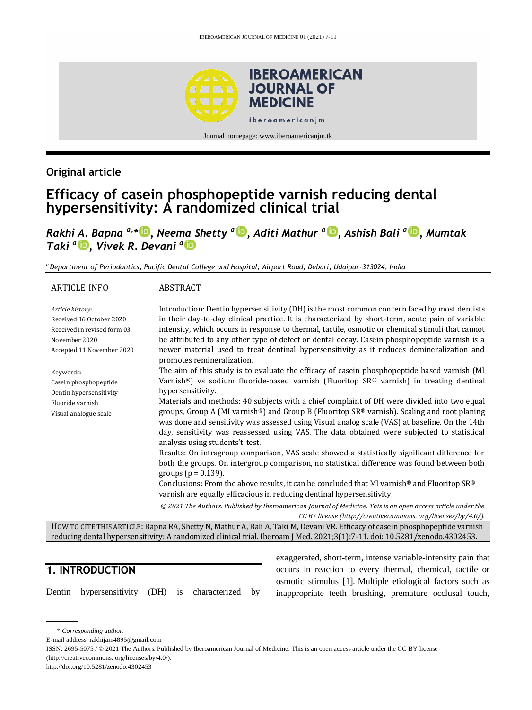

## **Original article**

# **Efficacy of casein phosphopeptide varnish reducing dental hypersensitivity: A randomized clinical trial**

*Rakhi A. Bapna a,\* [,](http://orcid.org/0000-0002-1682-6718) Neema Shetty <sup>a</sup> [,](http://orcid.org/0000-0002-7391-5645) Aditi Mathur <sup>a</sup> [,](http://orcid.org/0000-0002-2065-6459) Ashish Bali <sup>a</sup> [,](http://orcid.org/0000-0003-1618-3959) Mumtak Taki <sup>a</sup> [,](http://orcid.org/0000-0001-7391-0425) Vivek R. Devani <sup>a</sup>*

*<sup>a</sup> Department of Periodontics, Pacific Dental College and Hospital, Airport Road, Debari, Udaipur-313024, India*

#### ARTICLE INFO *Article history:* Received 16 October 2020 Received in revised form 03 November 2020 Accepted 11 November 2020 Keywords: Casein phosphopeptide Dentin hypersensitivity Fluoride varnish Visual analogue scale ABSTRACT Introduction: Dentin hypersensitivity (DH) is the most common concern faced by most dentists in their day-to-day clinical practice. It is characterized by short-term, acute pain of variable intensity, which occurs in response to thermal, tactile, osmotic or chemical stimuli that cannot be attributed to any other type of defect or dental decay. Casein phosphopeptide varnish is a newer material used to treat dentinal hypersensitivity as it reduces demineralization and promotes remineralization. The aim of this study is to evaluate the efficacy of casein phosphopeptide based varnish (MI Varnish®) vs sodium fluoride-based varnish (Fluoritop SR® varnish) in treating dentinal hypersensitivity. Materials and methods: 40 subjects with a chief complaint of DH were divided into two equal groups, Group A (MI varnish®) and Group B (Fluoritop SR® varnish). Scaling and root planing was done and sensitivity was assessed using Visual analog scale (VAS) at baseline. On the 14th day, sensitivity was reassessed using VAS. The data obtained were subjected to statistical analysis using students't' test. Results: On intragroup comparison, VAS scale showed a statistically significant difference for both the groups. On intergroup comparison, no statistical difference was found between both groups ( $p = 0.139$ ). Conclusions: From the above results, it can be concluded that MI varnish® and Fluoritop SR® varnish are equally efficacious in reducing dentinal hypersensitivity. *© 2021 The Authors. Published by Iberoamerican Journal of Medicine. This is an open access article under the CC BY license (http:/[/creativecommons. org/licenses/by/4.0/\)](https://creativecommons.org/licenses/by/4.0/).* HOW TO CITE THIS ARTICLE: Bapna RA, Shetty N, Mathur A, Bali A, Taki M, Devani VR. Efficacy of casein phosphopeptide varnish

reducing dental hypersensitivity: A randomized clinical trial. Iberoam J Med. 2021;3(1):7-11. doi[: 10.5281/zenodo.4302453.](http://doi.org/10.5281/zenodo.4302453)

## **1. INTRODUCTION**

Dentin hypersensitivity (DH) is characterized by

exaggerated, short-term, intense variable-intensity pain that occurs in reaction to every thermal, chemical, tactile or osmotic stimulus [1]. Multiple etiological factors such as inappropriate teeth brushing, premature occlusal touch,

\* *Corresponding author.*

E-mail address: rakhijain4895@gmail.com

ISSN: 2695-5075 / © 2021 The Authors. Published by Iberoamerican Journal of Medicine. This is an open access article under the CC BY license (http://creativecommons. org/licenses/by/4.0/).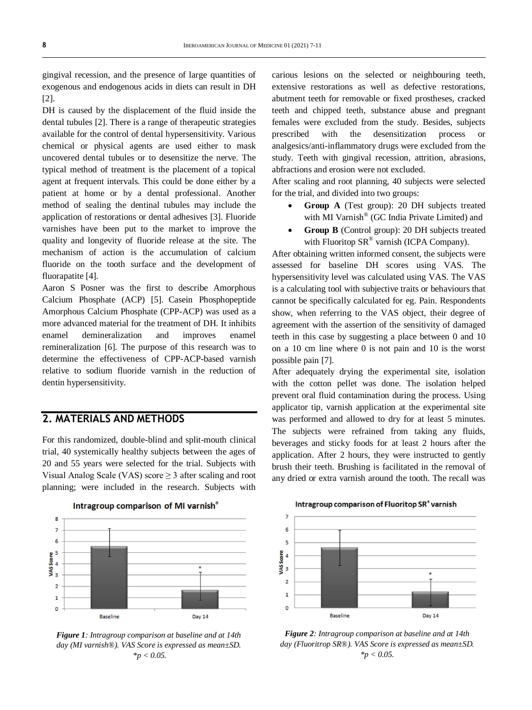gingival recession, and the presence of large quantities of exogenous and endogenous acids in diets can result in DH [2].

DH is caused by the displacement of the fluid inside the dental tubules [2]. There is a range of therapeutic strategies available for the control of dental hypersensitivity. Various chemical or physical agents are used either to mask uncovered dental tubules or to desensitize the nerve. The typical method of treatment is the placement of a topical agent at frequent intervals. This could be done either by a patient at home or by a dental professional. Another method of sealing the dentinal tubules may include the application of restorations or dental adhesives [3]. Fluoride varnishes have been put to the market to improve the quality and longevity of fluoride release at the site. The mechanism of action is the accumulation of calcium fluoride on the tooth surface and the development of fluorapatite [4].

Aaron S Posner was the first to describe Amorphous Calcium Phosphate (ACP) [5]. Casein Phosphopeptide Amorphous Calcium Phosphate (CPP-ACP) was used as a more advanced material for the treatment of DH. It inhibits enamel demineralization and improves enamel remineralization [6]. The purpose of this research was to determine the effectiveness of CPP-ACP-based varnish relative to sodium fluoride varnish in the reduction of dentin hypersensitivity.

## **2. MATERIALS AND METHODS**

For this randomized, double-blind and split-mouth clinical trial, 40 systemically healthy subjects between the ages of 20 and 55 years were selected for the trial. Subjects with Visual Analog Scale (VAS) score ≥ 3 after scaling and root planning; were included in the research. Subjects with



*Figure 1: Intragroup comparison at baseline and at 14th day (MI varnish®). VAS Score is expressed as mean±SD. \*p < 0.05.*

carious lesions on the selected or neighbouring teeth, extensive restorations as well as defective restorations, abutment teeth for removable or fixed prostheses, cracked teeth and chipped teeth, substance abuse and pregnant females were excluded from the study. Besides, subjects prescribed with the desensitization process or analgesics/anti-inflammatory drugs were excluded from the study. Teeth with gingival recession, attrition, abrasions, abfractions and erosion were not excluded.

After scaling and root planning, 40 subjects were selected for the trial, and divided into two groups:

- **Group A** (Test group): 20 DH subjects treated with MI Varnish® (GC India Private Limited) and
- **Group B** (Control group): 20 DH subjects treated with Fluoritop  $SR^{\circledast}$  varnish (ICPA Company).

After obtaining written informed consent, the subjects were assessed for baseline DH scores using VAS. The hypersensitivity level was calculated using VAS. The VAS is a calculating tool with subjective traits or behaviours that cannot be specifically calculated for eg. Pain. Respondents show, when referring to the VAS object, their degree of agreement with the assertion of the sensitivity of damaged teeth in this case by suggesting a place between 0 and 10 on a 10 cm line where 0 is not pain and 10 is the worst possible pain [7].

After adequately drying the experimental site, isolation with the cotton pellet was done. The isolation helped prevent oral fluid contamination during the process. Using applicator tip, varnish application at the experimental site was performed and allowed to dry for at least 5 minutes. The subjects were refrained from taking any fluids, beverages and sticky foods for at least 2 hours after the application. After 2 hours, they were instructed to gently brush their teeth. Brushing is facilitated in the removal of any dried or extra varnish around the tooth. The recall was



*Figure 2: Intragroup comparison at baseline and at 14th day (Fluoritrop SR®). VAS Score is expressed as mean±SD. \*p < 0.05.*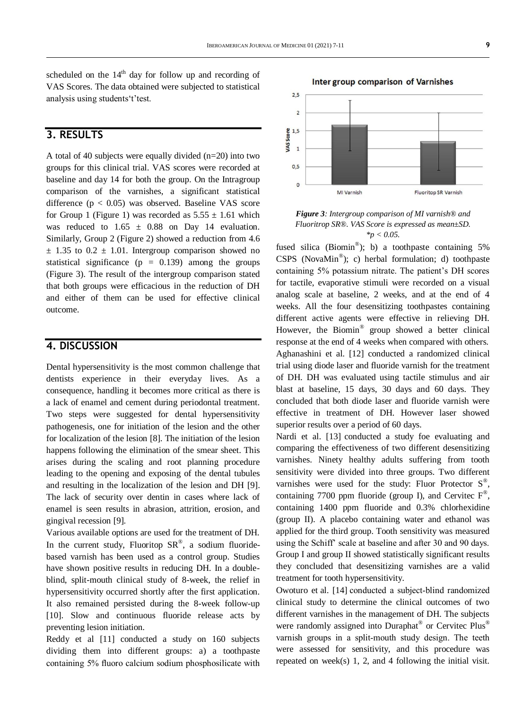scheduled on the  $14<sup>th</sup>$  day for follow up and recording of VAS Scores. The data obtained were subjected to statistical analysis using students't'test.

## **3. RESULTS**

A total of 40 subjects were equally divided (n=20) into two groups for this clinical trial. VAS scores were recorded at baseline and day 14 for both the group. On the Intragroup comparison of the varnishes, a significant statistical difference  $(p < 0.05)$  was observed. Baseline VAS score for Group 1 (Figure 1) was recorded as  $5.55 \pm 1.61$  which was reduced to  $1.65 \pm 0.88$  on Day 14 evaluation. Similarly, Group 2 (Figure 2) showed a reduction from 4.6  $\pm$  1.35 to 0.2  $\pm$  1.01. Intergroup comparison showed no statistical significance ( $p = 0.139$ ) among the groups (Figure 3). The result of the intergroup comparison stated that both groups were efficacious in the reduction of DH and either of them can be used for effective clinical outcome.

#### **4. DISCUSSION**

Dental hypersensitivity is the most common challenge that dentists experience in their everyday lives. As a consequence, handling it becomes more critical as there is a lack of enamel and cement during periodontal treatment. Two steps were suggested for dental hypersensitivity pathogenesis, one for initiation of the lesion and the other for localization of the lesion [8]. The initiation of the lesion happens following the elimination of the smear sheet. This arises during the scaling and root planning procedure leading to the opening and exposing of the dental tubules and resulting in the localization of the lesion and DH [9]. The lack of security over dentin in cases where lack of enamel is seen results in abrasion, attrition, erosion, and gingival recession [9].

Various available options are used for the treatment of DH. In the current study, Fluoritop  $SR^{\circledast}$ , a sodium fluoridebased varnish has been used as a control group. Studies have shown positive results in reducing DH. In a doubleblind, split-mouth clinical study of 8-week, the relief in hypersensitivity occurred shortly after the first application. It also remained persisted during the 8-week follow-up [10]. Slow and continuous fluoride release acts by preventing lesion initiation.

Reddy et al [11] conducted a study on 160 subjects dividing them into different groups: a) a toothpaste containing 5% fluoro calcium sodium phosphosilicate with



*Figure 3: Intergroup comparison of MI varnish® and Fluoritrop SR®. VAS Score is expressed as mean±SD. \*p < 0.05.*

fused silica (Biomin®); b) a toothpaste containing 5% CSPS (NovaMin® ); c) herbal formulation; d) toothpaste containing 5% potassium nitrate. The patient's DH scores for tactile, evaporative stimuli were recorded on a visual analog scale at baseline, 2 weeks, and at the end of 4 weeks. All the four desensitizing toothpastes containing different active agents were effective in relieving DH. However, the Biomin® group showed a better clinical response at the end of 4 weeks when compared with others. Aghanashini et al. [12] conducted a randomized clinical trial using diode laser and fluoride varnish for the treatment of DH. DH was evaluated using tactile stimulus and air blast at baseline, 15 days, 30 days and 60 days. They concluded that both diode laser and fluoride varnish were effective in treatment of DH. However laser showed superior results over a period of 60 days.

Nardi et al. [13] conducted a study foe evaluating and comparing the effectiveness of two different desensitizing varnishes. Ninety healthy adults suffering from tooth sensitivity were divided into three groups. Two different varnishes were used for the study: Fluor Protector  $S^{\circledast}$ , containing 7700 ppm fluoride (group I), and Cervitec  $F^{\circledast}$ , containing 1400 ppm fluoride and 0.3% chlorhexidine (group II). A placebo containing water and ethanol was applied for the third group. Tooth sensitivity was measured using the Schiff' scale at baseline and after 30 and 90 days. Group I and group II showed statistically significant results they concluded that desensitizing varnishes are a valid treatment for tooth hypersensitivity.

Owoturo et al. [14] conducted a subject-blind randomized clinical study to determine the clinical outcomes of two different varnishes in the management of DH. The subjects were randomly assigned into Duraphat® or Cervitec Plus® varnish groups in a split-mouth study design. The teeth were assessed for sensitivity, and this procedure was repeated on week(s) 1, 2, and 4 following the initial visit.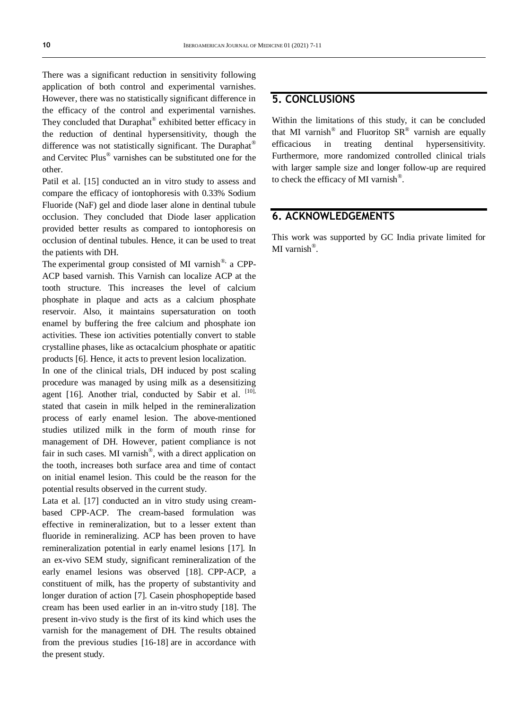There was a significant reduction in sensitivity following application of both control and experimental varnishes. However, there was no statistically significant difference in the efficacy of the control and experimental varnishes. They concluded that Duraphat® exhibited better efficacy in the reduction of dentinal hypersensitivity, though the difference was not statistically significant. The Duraphat® and Cervitec Plus® varnishes can be substituted one for the other.

Patil et al. [15] conducted an in vitro study to assess and compare the efficacy of iontophoresis with 0.33% Sodium Fluoride (NaF) gel and diode laser alone in dentinal tubule occlusion. They concluded that Diode laser application provided better results as compared to iontophoresis on occlusion of dentinal tubules. Hence, it can be used to treat the patients with DH.

The experimental group consisted of MI varnish<sup>®,</sup> a CPP-ACP based varnish. This Varnish can localize ACP at the tooth structure. This increases the level of calcium phosphate in plaque and acts as a calcium phosphate reservoir. Also, it maintains supersaturation on tooth enamel by buffering the free calcium and phosphate ion activities. These ion activities potentially convert to stable crystalline phases, like as octacalcium phosphate or apatitic products [6]. Hence, it acts to prevent lesion localization.

In one of the clinical trials, DH induced by post scaling procedure was managed by using milk as a desensitizing agent [16]. Another trial, conducted by Sabir et al. [10], stated that casein in milk helped in the remineralization process of early enamel lesion. The above-mentioned studies utilized milk in the form of mouth rinse for management of DH. However, patient compliance is not fair in such cases. MI varnish<sup>®</sup>, with a direct application on the tooth, increases both surface area and time of contact on initial enamel lesion. This could be the reason for the potential results observed in the current study.

Lata et al. [17] conducted an in vitro study using creambased CPP-ACP. The cream-based formulation was effective in remineralization, but to a lesser extent than fluoride in remineralizing. ACP has been proven to have remineralization potential in early enamel lesions [17]. In an ex-vivo SEM study, significant remineralization of the early enamel lesions was observed [18]. CPP-ACP, a constituent of milk, has the property of substantivity and longer duration of action [7]. Casein phosphopeptide based cream has been used earlier in an in-vitro study [18]. The present in-vivo study is the first of its kind which uses the varnish for the management of DH. The results obtained from the previous studies [16-18] are in accordance with the present study.

#### **5. CONCLUSIONS**

Within the limitations of this study, it can be concluded that MI varnish<sup>®</sup> and Fluoritop  $SR^®$  varnish are equally efficacious in treating dentinal hypersensitivity. Furthermore, more randomized controlled clinical trials with larger sample size and longer follow-up are required to check the efficacy of MI varnish<sup>®</sup>.

#### **6. ACKNOWLEDGEMENTS**

This work was supported by GC India private limited for MI varnish®.